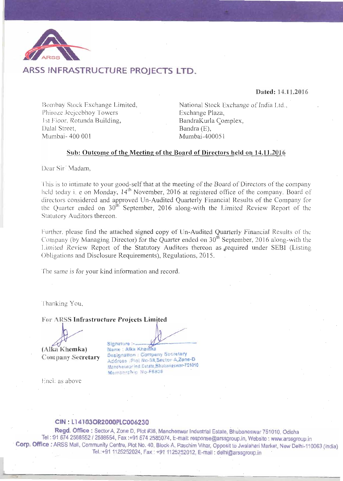

# ARSS INFRASTRUCTURE PROJECTS LTD.

Dated: 14.11.2016

Bombay Stock Exchange Limited, Phiroze Jecjeebhoy Towers 1st Floor, Rotunda Building, Dalal Street. Mumbai- 400 001

National Stock Exchange of India Ltd., Exchange Plaza, BandraKurla Complex. Bandra (E). Mumbai-400051

## Sub: Outcome of the Meeting of the Board of Directors held on 14.11.2016

Dear Sir<sup>7</sup> Madam,

This is to intimate to your good-self that at the meeting of the Board of Directors of the company held today i. e on Monday, 14<sup>th</sup> November, 2016 at registered office of the company. Board of directors considered and approved Un-Audited Quarterly Financial Results of the Company for the Quarter ended on 30<sup>th</sup> September, 2016 along-with the Limited Review Report of the Statutory Auditors thereon.

Further, please find the attached signed copy of Un-Audited Quarterly Financial Results of the Company (by Managing Director) for the Quarter ended on 30<sup>th</sup> September, 2016 along-with the Limited Review Report of the Statutory Auditors thereon as required under SEBI (Listing Obligations and Disclosure Requirements), Regulations, 2015.

The same is for your kind information and record.

Thanking You,

For ARSS Infrastructure Projects Limited

(Alka Khemka) **Company Secretary** 

Signature :-Name : Alka Khemka Designation : Company Secretary Address Plot No-38, Sector-A.Zone-D Mancheswar Ind. Estate, Bhubaneswar-751010 Membership No-F6838

Encl: as above

## CIN. L14103OR2000PLC006230

Regd. Office: Sector A, Zone D, Plot #38, Mancheswar Industrial Estate, Bhubaneswar 751010, Odisha Tel : 91 674 2588552 / 2588554, Fax :+91 674 2585074, E-mail: response@arssgroup.in, Website : www.arssgroup.in Corp. Office : ARSS Mall, Community Centre, Plot No. 40, Block-A, Paschim Vihar, Opposit to Jwalaheri Market, New Delhi-110063 (India) Tel.:+91 1125252024, Fax: +91 1125252012, E-mail: delhi@arssgroup.in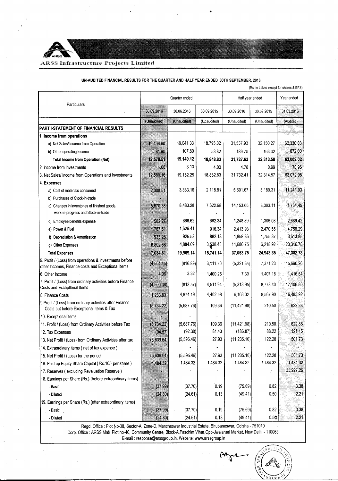#### ARSS Infrastructure Projects Limited

|                                                                                                               |             |               |             |                 |             | (Rs. in Lakhs except for shares & EPS) |
|---------------------------------------------------------------------------------------------------------------|-------------|---------------|-------------|-----------------|-------------|----------------------------------------|
|                                                                                                               |             | Quarter ended |             | Half year ended |             | Year ended                             |
| Particulars                                                                                                   | 30.09.2016  | 30.06.2016    | 30.09.2015  | 30.09.2016      | 30.09.2015  | 31.03.2016                             |
|                                                                                                               | (Unaudited) | (Unaudited)   | (Unaudited) | (Unaudited)     | (Unaudited) | (Audited)                              |
| PART I-STATEMENT OF FINANCIAL RESULTS                                                                         |             |               |             |                 |             |                                        |
| 1. Income from operations                                                                                     |             |               |             |                 |             |                                        |
| a) Net Sales/ Income from Operation                                                                           | 12,496.60   | 19,041.33     | 18,795.02   | 31,537.93       | 32,150.27   | 62,330.03                              |
| b) Other operating Income                                                                                     | 81.90       | 107.80        | 53.82       | 189.70          | 163.32      | 672.00                                 |
| <b>Total Income from Operation (Net)</b>                                                                      | 12,578.51   | 19,149.12     | 18,848.83   | 31,727.63       | 32,313.58   | 63,002.02                              |
| 2. Income from Investments                                                                                    | 1.66        | 3.13          | 4.00        | 4.78            | 0.99        | 70.96                                  |
| 3. Net Sales/ Income from Operations and Investments                                                          | 12,580.16   | 19,152.25     | 18,852.83   | 31,732.41       | 32,314.57   | 63,072.98                              |
| 4. Expenses                                                                                                   |             |               |             |                 |             |                                        |
| a) Cost of materials consumed                                                                                 | 2,308.51    | 3,383.16      | 2,118.81    | 5,691.67        | 5,189.31    | 11,241.93                              |
| b) Purchases of Stock-in-trade                                                                                |             |               |             |                 |             |                                        |
| c) Changes in Inventories of finished goods,<br>work-in-progress and Stock-in-trade                           | 5,670.38    | 8,483.28      | 7,622.98    | 14,153.66       | 8,003.11    | 1,764.45                               |
| d) Employee benefits expense                                                                                  | 582.27      | 666.62        | 662.34      | 1,248.89        | 1.306.08    | 2,689.42                               |
| e) Power & Fuel                                                                                               | 787.51      | 1,626.41      | 916.34      | 2,413.93        | 2.470.55    | 4,756.29                               |
| f) Depreciation & Amortisation                                                                                | 933.28      | 925.58        | 882.18      | 1,858.86        | 1,755.37    | 3,613.85                               |
| g) Other Expenses                                                                                             | 6,802.66    | 4,884.09      | 3,538.48    | 11,686.75       | 6.218.92    | 23,316.78                              |
| <b>Total Expenses</b>                                                                                         | 17,084.61   | 19,969.14     | 15,741.14   | 37,053.75       | 24,943.35   | 47,382.73                              |
| 5. Profit / (Loss) from operations & investments before<br>other Incomes, Finance costs and Exceptional Items | (4, 504.45) | (816.89)      | 3,111.70    | (5,321.34)      | 7,371.23    | 15,690.26                              |
| 6. Other Income                                                                                               | 4.06        | 3.32          | 1,400.25    | 7.39            | 1,407.18    | 1,416.54                               |
| 7. Profit / (Loss) from ordinary activities before Finance<br>Costs and Exceptional items                     | (4,500,38)  | (813.57)      | 4,511.94    | (5,313.95)      | 8,778.40    | 17,106.80                              |
| 8. Finance Costs                                                                                              | 1,233.83    | 4,874.19      | 4,402.58    | 6,108.02        | 8,567.90    | 16,483.92                              |
| 9 Profit / (Loss) from ordinary activities after Finance<br>Costs but before Exceptional Items & Tax          | (5,734.22)  | (5,687.76)    | 109.36      | (11, 421.98)    | 210.50      | 622.88                                 |
| 10. Exceptional items                                                                                         |             |               |             |                 |             |                                        |
| 11. Profit / (Loss) from Ordinary Activities before Tax                                                       | (5,734.22)  | (5,687.76)    | 109.36      | (11, 421.98)    | 210.50      | 622.88                                 |
| 12. Tax Expenses                                                                                              | (94.57)     | (92.30)       | 81.43       | (186.87)        | 88.22       | 121.15                                 |
| 13. Net Profit / (Loss) from Ordinary Activities after tax                                                    | (5,639.64)  | (5,595.46)    | 27.93       | (11, 235.10)    | 122.28      | 501.73                                 |
| 14. Extraordinary items (net of tax expense)                                                                  |             |               |             |                 |             |                                        |
| 15. Net Profit / (Loss) for the period                                                                        | (5,639.64)  | (5,595.46)    | 27.93       | (11, 235.10)    | 122.28      | 501.73                                 |
| 16. Paid up Equity Share Capital (Rs.10/- per share)                                                          | 1,484.32    | 1,484.32      | 1,484.32    | 1,484.32        | 1,484.32    | 1,484.32                               |
| 17. Reserves (excluding Revaluation Reserve)                                                                  |             |               |             |                 |             | 35,227.26                              |
| 18. Earnings per Share (Rs.) (before extraordinary items)                                                     |             |               |             |                 |             |                                        |
| - Basic                                                                                                       | (37.99)     | (37.70)       | 0.19        | (75.69)         | 0.82        | 3.38                                   |
| - Diluted                                                                                                     | (24.80)     | (24.61)       | 0.13        | (49.41)         | 0.50        | 2.21                                   |
| 19. Earnings per Share (Rs.) (after extraordinary items)                                                      |             |               |             |                 |             |                                        |
| - Basic                                                                                                       | (37.99)     | (37.70)       | 0.19        | (75.69)         | 0.82        | 3.38                                   |
| - Diluted                                                                                                     | (24.80)     | (24.61)       | 0.13        | (49.41)         | 0.50        | 2.21                                   |

UN-AUDITED FINANCIAL RESULTS FOR THE QUARTER AND HALF YEAR ENDED 30TH SEPTEMBER, 2016

Regd. Office : Plot No-38, Sector-A, Zone-D, Mancheswar Industrial Estate, Bhubaneswar, Odisha - 751010 Corp. Office: ARSS Mall, Plot no-40, Community Centre, Block-A, Paschim Vihar, Opp-Jwalaheri Market, New Delhi - 110063<br>E-mail: response@arssgroup.in, Website: www.arssgroup.in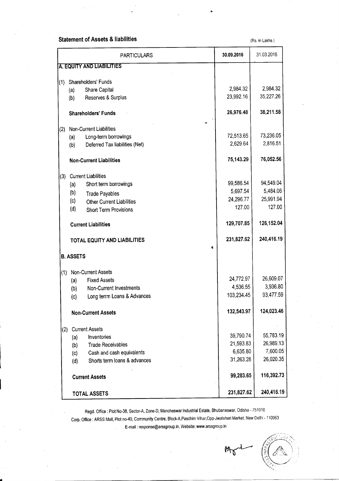# **Statement of Assets & liabilities**

(Rs. in Lakhs)

|     | <b>PARTICULARS</b>                      | 30.09.2016 | 31.03.2016 |
|-----|-----------------------------------------|------------|------------|
|     | A. EQUITY AND LIABILITIES               |            |            |
| (1) | Shareholders' Funds                     |            |            |
|     | Share Capital<br>(a)                    | 2,984.32   | 2,984.32   |
|     | Reserves & Surplus<br>(b)               | 23,992.16  | 35,227.26  |
|     | <b>Shareholders' Funds</b>              | 26,976.48  | 38,211.58  |
| (2) | Non-Current Liabilities                 |            |            |
|     | Long-term borrowings<br>(a)             | 72,513.65  | 73,236.05  |
|     | Deferred Tax liabilities (Net)<br>(b)   | 2,629.64   | 2,816.51   |
|     | <b>Non-Current Liabilities</b>          | 75,143.29  | 76,052.56  |
| (3) | <b>Current Liabilities</b>              |            |            |
|     | Short term borrowings<br>(a)            | 99,586.54  | 94,549.04  |
|     | (b)<br><b>Trade Payables</b>            | 5,697.54   | 5,484.06   |
|     | (c)<br><b>Other Current Liabilities</b> | 24,296.77  | 25,991.94  |
|     | (d)<br><b>Short Term Provisions</b>     | 127.00     | 127.00     |
|     | <b>Current Liabilities</b>              | 129,707.85 | 126,152.04 |
|     | TOTAL EQUITY AND LIABILITIES            | 231,827.62 | 240,416.19 |
|     | 獝<br><b>B. ASSETS</b>                   |            |            |
| (1) | Non-Current Assets                      |            |            |
|     | <b>Fixed Assets</b><br>(a)              | 24,772.97  | 26,609.07  |
|     | <b>Non-Current Investments</b><br>(b)   | 4,536.55   | 3,936.80   |
|     | Long terrm Loans & Advances<br>(c)      | 103,234.45 | 93,477.59  |
|     | <b>Non-Current Assets</b>               | 132,543.97 | 124,023.46 |
| (2) | <b>Current Assets</b>                   |            |            |
|     | Inventories<br>(a)                      | 39,790.74  | 55,783.19  |
|     | <b>Trade Receivables</b><br>(b)         | 21,593.83  | 26,989.13  |
|     | Cash and cash equivalents<br>(c)        | 6,635.80   | 7,600.05   |
|     | Shorts term loans & advances<br>(d)     | 31,263.28  | 26,020.35  |
|     | <b>Current Assets</b>                   | 99,283.65  | 116,392.73 |
|     | <b>TOTAL ASSETS</b>                     | 231,827.62 | 240,416.19 |

Regd. Office : Plot No-38, Sector-A, Zone-D, Mancheswar Industrial Estate, Bhubaneswar, Odisha - 751010

Corp. Office : ARSS Mall, Plot no-40, Community Centre, Block-A, Paschim Vihar, Opp-Jwalaheri Market, New Delhi - 110063 E-mail : response@arssgroup.in, Website: www.arssgroup.in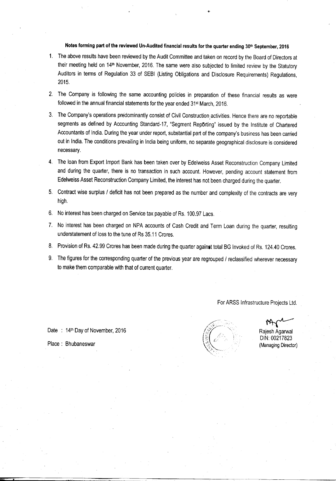# Notes forming part of the reviewed Un-Audited financial results for the quarter ending 30th September, 2016

- 1. The above results have been reviewed by the Audit Committee and taken on record by the Board of Directors at their meeting held on 14th November, 2016. The same were also subjected to limited review by the Statutory Auditors in terms of Regulation 33 of SEBI (Listing Obligations and Disclosure Requirements) Regulations, 2015.
- 2. The Company is following the same accounting policies in preparation of these financial results as were followed in the annual financial statements for the year ended 31<sup>st</sup> March, 2016.
- 3. The Company's operations predominantly consist of Civil Construction activities. Hence there are no reportable segments as defined by Accounting Standard-17, "Segment Reporting" issued by the Institute of Chartered Accountants of India. During the year under report, substantial part of the company's business has been carried out in India. The conditions prevailing in India being uniform, no separate geographical disclosure is considered necessary.
- 4. The loan from Export Import Bank has been taken over by Edelweiss Asset Reconstruction Company Limited and during the quarter, there is no transaction in such account. However, pending account statement from Edelweiss Asset Reconstruction Company Limited, the interest has not been charged during the quarter.
- 5. Contract wise surplus / deficit has not been prepared as the number and complexity of the contracts are very high.
- 6. No interest has been charged on Service tax payable of Rs. 100.97 Lacs.
- 7. No interest has been charged on NPA accounts of Cash Credit and Term Loan during the quarter, resulting understatement of loss to the tune of Rs 35.11 Crores.
- 8. Provision of Rs. 42.99 Crores has been made during the quarter against total BG Invoked of Rs. 124.40 Crores.
- 9. The figures for the corresponding quarter of the previous year are regrouped / reclassified wherever necessary to make them comparable with that of current quarter.

For ARSS Infrastructure Projects Ltd.



Rajesh Agarwal DIN: 00217823 (Managing Director)

Place: Bhubaneswar

Date: 14th Day of November, 2016